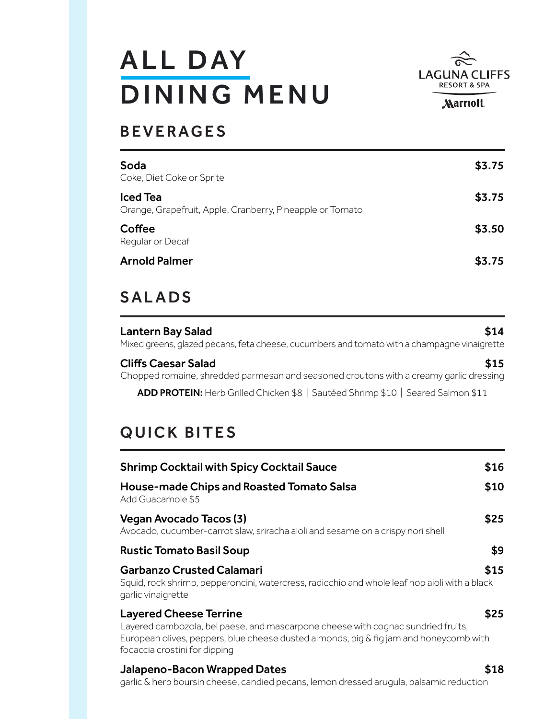# **ALL DAY** DINING MENU



**Marriott.** 

# BEVERAGES

| Soda<br>Coke, Diet Coke or Sprite                                            | \$3.75 |
|------------------------------------------------------------------------------|--------|
| <b>Iced Tea</b><br>Orange, Grapefruit, Apple, Cranberry, Pineapple or Tomato | \$3.75 |
| Coffee<br>Regular or Decaf                                                   | \$3.50 |
| <b>Arnold Palmer</b>                                                         | \$3.75 |

# SALADS

Lantern Bay Salad \$14 Mixed greens, glazed pecans, feta cheese, cucumbers and tomato with a champagne vinaigrette

Cliffs Caesar Salad **\$15** Chopped romaine, shredded parmesan and seasoned croutons with a creamy garlic dressing

ADD PROTEIN: Herb Grilled Chicken \$8 | Sautéed Shrimp \$10 | Seared Salmon \$11

# QUICK BITES

| <b>Shrimp Cocktail with Spicy Cocktail Sauce</b>                                                                                                                                                                                             | \$16 |
|----------------------------------------------------------------------------------------------------------------------------------------------------------------------------------------------------------------------------------------------|------|
| <b>House-made Chips and Roasted Tomato Salsa</b><br>Add Guacamole \$5                                                                                                                                                                        | \$10 |
| Vegan Avocado Tacos (3)<br>Avocado, cucumber-carrot slaw, sriracha aioli and sesame on a crispy nori shell                                                                                                                                   | \$25 |
| <b>Rustic Tomato Basil Soup</b>                                                                                                                                                                                                              | \$9  |
| <b>Garbanzo Crusted Calamari</b><br>Squid, rock shrimp, pepperoncini, watercress, radicchio and whole leaf hop aioli with a black<br>garlic vinaigrette                                                                                      | \$15 |
| <b>Layered Cheese Terrine</b><br>Layered cambozola, bel paese, and mascarpone cheese with cognac sundried fruits,<br>European olives, peppers, blue cheese dusted almonds, pig & fig jam and honeycomb with<br>focaccia crostini for dipping | \$25 |
| Jalapeno-Bacon Wrapped Dates                                                                                                                                                                                                                 |      |

garlic & herb boursin cheese, candied pecans, lemon dressed arugula, balsamic reduction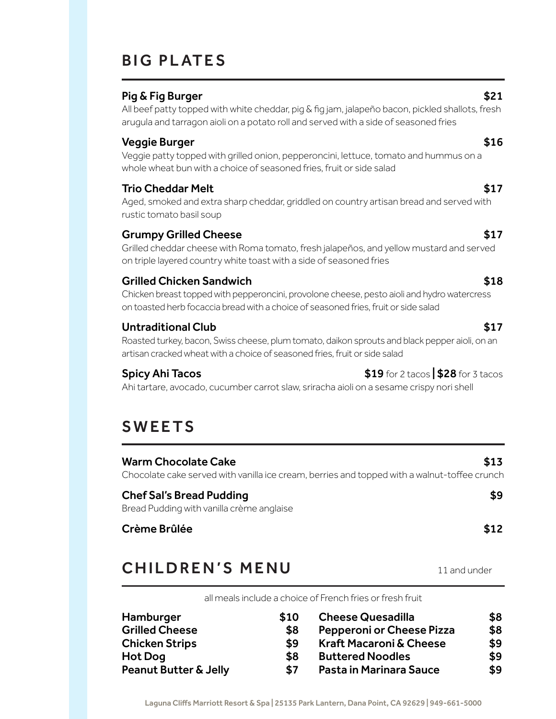# **BIG PLATES**

## Pig & Fig Burger  $$21$

All beef patty topped with white cheddar, pig & fig jam, jalapeño bacon, pickled shallots, fresh arugula and tarragon aioli on a potato roll and served with a side of seasoned fries

## Veggie Burger  $$16$

Veggie patty topped with grilled onion, pepperoncini, lettuce, tomato and hummus on a whole wheat bun with a choice of seasoned fries, fruit or side salad

# Trio Cheddar Melt \$17

Aged, smoked and extra sharp cheddar, griddled on country artisan bread and served with rustic tomato basil soup

## Grumpy Grilled Cheese **\$17**

Grilled cheddar cheese with Roma tomato, fresh jalapeños, and yellow mustard and served on triple layered country white toast with a side of seasoned fries

# Grilled Chicken Sandwich **\$18**

Chicken breast topped with pepperoncini, provolone cheese, pesto aioli and hydro watercress on toasted herb focaccia bread with a choice of seasoned fries, fruit or side salad

## Untraditional Club **\$17**

Roasted turkey, bacon, Swiss cheese, plum tomato, daikon sprouts and black pepper aioli, on an artisan cracked wheat with a choice of seasoned fries, fruit or side salad

**Spicy Ahi Tacos**  $\frac{1}{2}$  **Spicy Ahi Tacos** 

Ahi tartare, avocado, cucumber carrot slaw, sriracha aioli on a sesame crispy nori shell

# SWEETS

Warm Chocolate Cake  $$13$ Chocolate cake served with vanilla ice cream, berries and topped with a walnut-toffee crunch

#### Chef Sal's Bread Pudding **\$9** and the state of the state of the state of the state of the state of the state of the state of the state of the state of the state of the state of the state of the state of the state of the st Bread Pudding with vanilla crème anglaise

# Crème Brûlée \$12

# CHILDREN'S MENU 11 and under

all meals include a choice of French fries or fresh fruit

| Hamburger             | \$10 | <b>Cheese Quesadilla</b>           | \$8 |
|-----------------------|------|------------------------------------|-----|
| <b>Grilled Cheese</b> | \$8  | Pepperoni or Cheese Pizza          | \$8 |
| <b>Chicken Strips</b> | \$9  | <b>Kraft Macaroni &amp; Cheese</b> | \$9 |
| Hot Dog               | \$8  | <b>Buttered Noodles</b>            | \$9 |
| Peanut Butter & Jelly | \$7  | Pasta in Marinara Sauce            | \$9 |

Laguna Cliffs Marriott Resort & Spa | 25135 Park Lantern, Dana Point, CA 92629 | 949-661-5000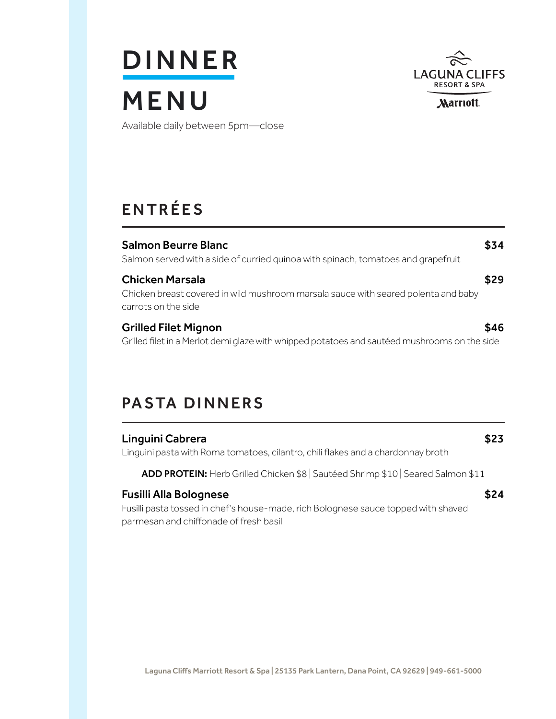# **DINNER** MENU



Available daily between 5pm—close

# ENTRÉES

| <b>Salmon Beurre Blanc</b><br>Salmon served with a side of curried quinoa with spinach, tomatoes and grapefruit                     | \$34 |
|-------------------------------------------------------------------------------------------------------------------------------------|------|
| <b>Chicken Marsala</b><br>Chicken breast covered in wild mushroom marsala sauce with seared polenta and baby<br>carrots on the side | 529  |
| <b>Grilled Filet Mignon</b><br>Grilled filet in a Merlot demi glaze with whipped potatoes and sautéed mushrooms on the side         | \$46 |

# PASTA DINNERS

| Linguini Cabrera<br>Linguini pasta with Roma tomatoes, cilantro, chili flakes and a chardonnay broth                                                   | \$23 |
|--------------------------------------------------------------------------------------------------------------------------------------------------------|------|
| ADD PROTEIN: Herb Grilled Chicken \$8   Sautéed Shrimp \$10   Seared Salmon \$11                                                                       |      |
| Fusilli Alla Bolognese<br>Fusilli pasta tossed in chef's house-made, rich Bolognese sauce topped with shaved<br>parmesan and chiffonade of fresh basil | \$24 |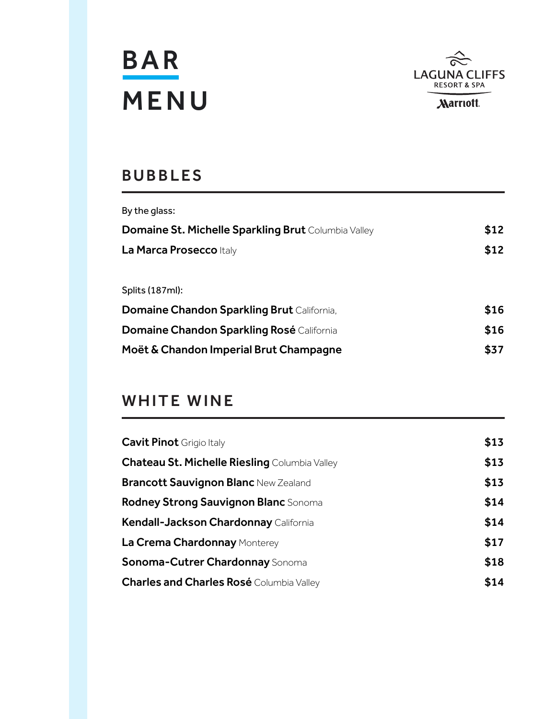



# BUBBLES

| By the glass:                                       |      |
|-----------------------------------------------------|------|
| Domaine St. Michelle Sparkling Brut Columbia Valley | \$12 |
| La Marca Prosecco Italy                             | \$12 |
|                                                     |      |
| Splits (187ml):                                     |      |
| <b>Domaine Chandon Sparkling Brut California,</b>   | \$16 |
| <b>Domaine Chandon Sparkling Rosé</b> California    | \$16 |
| Moët & Chandon Imperial Brut Champagne              | \$37 |
|                                                     |      |

# WHITE WINE

| \$13 |
|------|
| \$13 |
| \$13 |
| \$14 |
| \$14 |
| \$17 |
| \$18 |
| \$14 |
|      |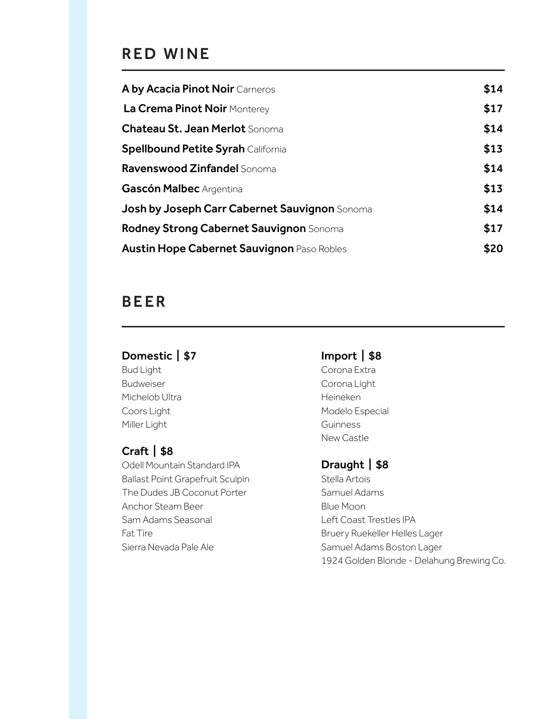# RED WINE

| A by Acacia Pinot Noir Carneros                      | \$14 |
|------------------------------------------------------|------|
| La Crema Pinot Noir Monterey                         | \$17 |
| <b>Chateau St. Jean Merlot Sonoma</b>                | \$14 |
| <b>Spellbound Petite Syrah California</b>            | \$13 |
| Ravenswood Zinfandel Sonoma                          | \$14 |
| Gascón Malbec Argentina                              | \$13 |
| <b>Josh by Joseph Carr Cabernet Sauvignon</b> Sonoma | \$14 |
| <b>Rodney Strong Cabernet Sauvignon</b> Sonoma       | \$17 |
| <b>Austin Hope Cabernet Sauvignon Paso Robles</b>    | \$20 |

# BEER

# Domestic | \$7

Bud Light Budweiser Michelob Ultra Coors Light Miller Light

# Craft | \$8

Odell Mountain Standard IPA Ballast Point Grapefruit Sculpin The Dudes JB Coconut Porter Anchor Steam Beer Sam Adams Seasonal Fat Tire Sierra Nevada Pale Ale

# Import | \$8

Corona Extra Corona Light Heineken Modelo Especial **Guinness** New Castle

# Draught | \$8

Stella Artois Samuel Adams Blue Moon Left Coast Trestles IPA Bruery Ruekeller Helles Lager Samuel Adams Boston Lager 1924 Golden Blonde - Delahung Brewing Co.